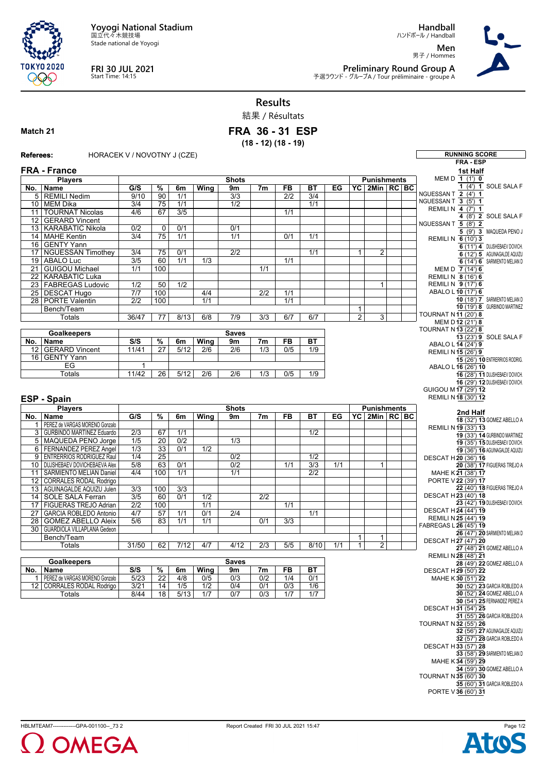**Yoyogi National Stadium** 国立代々木競技場

Stade national de Yoyogi



## **FRI 30 JUL 2021** Start Time: 14:15

**Handball** ハンドボール / Handball

**Men** 男子 / Hommes



**Preliminary Round Group A** 予選ラウンド - グループA / Tour préliminaire - groupe A

## **Results**

結果 / Résultats

## **Match 21**

## **FRA 36 - 31 ESP (18 - 12) (18 - 19)**

Referees: HORACEK V / NOVOTNY J (CZE) **RUNNING SCORE** 

|                                            |                                   |                           |                          |                  |             |                  |                  |                  |                  |     |                |                    |  | <b>FRA - ESP</b>               |
|--------------------------------------------|-----------------------------------|---------------------------|--------------------------|------------------|-------------|------------------|------------------|------------------|------------------|-----|----------------|--------------------|--|--------------------------------|
|                                            | <b>FRA - France</b>               |                           |                          |                  |             |                  |                  |                  |                  |     |                |                    |  | 1st Half                       |
|                                            | <b>Players</b>                    | <b>Shots</b>              |                          |                  |             |                  |                  |                  |                  |     |                | <b>Punishments</b> |  | MEM D $1(1')$ 0                |
| No.                                        | Name                              | G/S                       | $\%$                     | 6m               | Wing        | 9m               | 7 <sub>m</sub>   | <b>FB</b>        | <b>BT</b>        | EG  |                | YC 2Min RC BC      |  | 1 (4') 1 SOLE SALA F           |
|                                            | 5 REMILI Nedim                    | 9/10                      |                          | 1/1              |             | 3/3              |                  | $\overline{2/2}$ | 3/4              |     |                |                    |  | NGUESSAN T 2 (4') 1            |
|                                            |                                   |                           | 90                       |                  |             |                  |                  |                  |                  |     |                |                    |  | NGUESSAN T 3 (5') 1            |
|                                            | 10 MEM Dika                       | $\overline{3/4}$          | $\overline{75}$          | $\overline{1/1}$ |             | 1/2              |                  |                  | 1/1              |     |                |                    |  | REMILI N 4 (7') 1              |
| 11                                         | <b>TOURNAT Nicolas</b>            | 4/6                       | 67                       | 3/5              |             |                  |                  | 1/1              |                  |     |                |                    |  | 4 (8') 2 SOLE SALA F           |
| 12                                         | <b>GERARD Vincent</b>             |                           |                          |                  |             |                  |                  |                  |                  |     |                |                    |  | NGUESSAN T 5 (8') 2            |
| 13 <sup>1</sup>                            | <b>KARABATIC Nikola</b>           | $\overline{0/2}$          | 0                        | 0/1              |             | 0/1              |                  |                  |                  |     |                |                    |  |                                |
| 14                                         | <b>MAHE Kentin</b>                | $\overline{3/4}$          | $\overline{75}$          | 1/1              |             | 1/1              |                  | 0/1              | 1/1              |     |                |                    |  | 5 (9') 3 MAQUEDA PENO J        |
| 16                                         | <b>GENTY Yann</b>                 |                           |                          |                  |             |                  |                  |                  |                  |     |                |                    |  | REMILI N 6 (10') 3             |
| 17                                         | NGUESSAN Timothey                 | 3/4                       | 75                       | 0/1              |             | 2/2              |                  |                  | 1/1              |     | $\mathbf{1}$   | 2                  |  | 6 (11') 4 DUJSHEBAEV DOVICH.   |
|                                            |                                   |                           |                          |                  |             |                  |                  |                  |                  |     |                |                    |  | 6 (12') 5 AGUINAGALDE AQUIZU   |
| 19                                         | <b>ABALO Luc</b>                  | $\overline{3/5}$          | 60                       | $\overline{1/1}$ | 1/3         |                  |                  | 1/1              |                  |     |                |                    |  | 6 (14') 6 SARMIENTO MELIAN D   |
| 21                                         | <b>GUIGOU Michael</b>             | 1/1                       | 100                      |                  |             |                  | 1/1              |                  |                  |     |                |                    |  | MEM D 7 (14') 6                |
| 22                                         | <b>KARABATIC Luka</b>             |                           |                          |                  |             |                  |                  |                  |                  |     |                |                    |  | REMILI N 8 (16') 6             |
| 23                                         | <b>FABREGAS Ludovic</b>           | 1/2                       | 50                       | 1/2              |             |                  |                  |                  |                  |     |                | $\mathbf{1}$       |  | REMILI N 9 (17') 6             |
|                                            | 25 DESCAT Hugo                    | 7/7                       | 100                      |                  | 4/4         |                  | 2/2              | 1/1              |                  |     |                |                    |  | ABALO L 10 (17') 6             |
| 28 <sup>1</sup>                            | <b>PORTE Valentin</b>             | 2/2                       | 100                      |                  | 1/1         |                  |                  | 1/1              |                  |     |                |                    |  | 10 (18') 7 SARMIENTO MELIAN D  |
|                                            | Bench/Team                        |                           |                          |                  |             |                  |                  |                  |                  |     | $\mathbf{1}$   |                    |  | 10 (19') 8 GURBINDO MARTINEZ   |
|                                            | Totals                            | 36/47                     | $\overline{77}$          | 8/13             | 6/8         | $\overline{7/9}$ | 3/3              | 6/7              | 6/7              |     | $\overline{2}$ | 3                  |  | <b>TOURNAT N11 (20') 8</b>     |
|                                            |                                   |                           |                          |                  |             |                  |                  |                  |                  |     |                |                    |  | MEM D 12 (21') 8               |
|                                            |                                   |                           |                          |                  |             |                  |                  |                  |                  |     |                |                    |  | <b>TOURNAT N13 (22') 8</b>     |
|                                            | <b>Goalkeepers</b>                |                           |                          |                  |             | <b>Saves</b>     |                  |                  |                  |     |                |                    |  | 13 (23') 9 SOLE SALA F         |
| No.                                        | Name                              | S/S                       | %                        | 6m               | Wing        | 9m               | 7m               | <b>FB</b>        | <b>BT</b>        |     |                |                    |  | ABALO L 14 (24') 9             |
| 12 <sup>°</sup>                            | <b>GERARD Vincent</b>             | 11/41                     | 27                       | 5/12             | 2/6         | 2/6              | 1/3              | 0/5              | 1/9              |     |                |                    |  | REMILI N 15 (26') 9            |
| 16                                         | <b>GENTY Yann</b>                 |                           |                          |                  |             |                  |                  |                  |                  |     |                |                    |  | 15 (26') 10 ENTRERRIOS RODRIG. |
|                                            | EG                                | 1                         |                          |                  |             |                  |                  |                  |                  |     |                |                    |  | ABALO L 16 (26') 10            |
|                                            | Totals                            | 11/42                     | 26                       | 5/12             | 2/6         | 2/6              | 1/3              | 0/5              | 1/9              |     |                |                    |  | 16 (28') 11 DUJSHEBAEV DOVICH. |
|                                            |                                   |                           |                          |                  |             |                  |                  |                  |                  |     |                |                    |  | 16 (29') 12 DUJSHEBAEV DOVICH. |
|                                            |                                   |                           |                          |                  |             |                  |                  |                  |                  |     |                |                    |  | GUIGOU M 17 (29') 12           |
| REMILI N 18 (30') 12<br><b>ESP - Spain</b> |                                   |                           |                          |                  |             |                  |                  |                  |                  |     |                |                    |  |                                |
|                                            |                                   |                           |                          |                  |             |                  |                  |                  |                  |     |                |                    |  |                                |
|                                            | <b>Players</b>                    |                           |                          |                  |             | <b>Shots</b>     |                  |                  |                  |     |                | <b>Punishments</b> |  | 2nd Half                       |
| No.                                        | <b>Name</b>                       | G/S                       | %                        | 6m               | Wing        | 9m               | 7m               | FB               | ВT               | EG  |                | YC 2Min RC BC      |  | 18 (32') 13 GOMEZ ABELLO A     |
| $\mathbf{1}$                               | PEREZ de VARGAS MORENO Gonzalo    |                           |                          |                  |             |                  |                  |                  |                  |     |                |                    |  | REMILI N 19 (33') 13           |
|                                            | 3   GURBINDO MARTINEZ Eduardo     | $\overline{2/3}$          | 67                       | 1/1              |             |                  |                  |                  | 1/2              |     |                |                    |  | 19 (33') 14 GURBINDO MARTINEZ  |
|                                            | 5   MAQUEDA PENO Jorge            | 1/5                       | $\overline{20}$          | 0/2              |             | 1/3              |                  |                  |                  |     |                |                    |  | 19 (35') 15 DUJSHEBAEV DOVICH. |
|                                            | 6   FERNANDEZ PEREZ Angel         | 1/3                       | 33                       | 0/1              | 1/2         |                  |                  |                  |                  |     |                |                    |  |                                |
| 9                                          | <b>ENTRERRIOS RODRIGUEZ Raul</b>  | 1/4                       | $\overline{25}$          |                  |             | 0/2              |                  |                  | $\overline{1/2}$ |     |                |                    |  | 19 (36') 16 AGUINAGALDE AQUIZU |
|                                            |                                   | 5/8                       |                          | 0/1              |             | 0/2              |                  | 1/1              |                  | 1/1 |                | 1                  |  | DESCAT H20 (36') 16            |
|                                            | 10   DUJSHEBAEV DOVICHEBAEVA Alex |                           | 63                       |                  |             |                  |                  |                  | 3/3              |     |                |                    |  | 20 (38') 17 FIGUERAS TREJO A   |
|                                            | 11   SARMIENTO MELIAN Daniel      | 4/4                       | 100                      | 1/1              |             | 1/1              |                  |                  | 2/2              |     |                |                    |  | MAHE K21 (38') 17              |
| 12 <sup>°</sup>                            | <b>CORRALES RODAL Rodrigo</b>     |                           |                          |                  |             |                  |                  |                  |                  |     |                |                    |  | PORTE V 22 (39') 17            |
|                                            | 13   AGUINAGALDE AQUIZU Julen     | 3/3                       | 100                      | 3/3              |             |                  |                  |                  |                  |     |                |                    |  | 22 (40') 18 FIGUERAS TREJO A   |
|                                            | 14   SOLE SALA Ferran             | $\overline{3/5}$          | 60                       | 0/1              | 1/2         |                  | $\overline{2/2}$ |                  |                  |     |                |                    |  | DESCAT H23 (40') 18            |
|                                            | 17 FIGUERAS TREJO Adrian          | $\overline{2/2}$          | 100                      |                  | 1/1         |                  |                  | 1/1              |                  |     |                |                    |  | 23 (42') 19 DUJSHEBAEV DOVICH. |
| 27                                         | <b>GARCIA ROBLEDO Antonio</b>     | 4/7                       | 57                       | 1/1              | 0/1         | 2/4              |                  |                  | 1/1              |     |                |                    |  | DESCAT H24 (44') 19            |
| 28                                         | <b>GOMEZ ABELLO Aleix</b>         | 5/6                       | 83                       | 1/1              | 1/1         |                  | 0/1              | 3/3              |                  |     |                |                    |  | REMILI N 25 (44') 19           |
|                                            | 30   GUARDIOLA VILLAPLANA Gedeon  |                           |                          |                  |             |                  |                  |                  |                  |     |                |                    |  | FABREGAS L 26 (45') 19         |
|                                            | Bench/Team                        |                           |                          |                  |             |                  |                  |                  |                  |     | $\mathbf{1}$   | 1                  |  | 26 (47') 20 SARMIENTO MELIAN D |
|                                            | Totals                            | 31/50                     | 62                       | 7/12             | 4/7         | 4/12             | 2/3              | 5/5              | 8/10             | 1/1 | $\mathbf{1}$   | $\overline{2}$     |  | DESCAT H27 (47') 20            |
|                                            |                                   |                           |                          |                  |             |                  |                  |                  |                  |     |                |                    |  | 27 (48') 21 GOMEZ ABELLO A     |
|                                            |                                   |                           |                          |                  |             |                  |                  |                  |                  |     |                |                    |  | REMILI N 28 (48') 21           |
|                                            | <b>Goalkeepers</b>                |                           |                          |                  |             | <b>Saves</b>     |                  |                  |                  |     |                |                    |  | 28 (49') 22 GOMEZ ABELLO A     |
|                                            | No.   Name                        | $\overline{\mathsf{S/S}}$ | $\overline{\frac{9}{6}}$ | 6m               | <b>Wing</b> | 9m               | 7m               | FB               | BT               |     |                |                    |  | DESCAT H29 (50') 22            |
|                                            | PEREZ de VARGAS MORENO Gonzalo    | 5/23                      | $\overline{22}$          | 4/8              | 0/5         | $\overline{0/3}$ | 0/2              | 1/4              | 0/1              |     |                |                    |  | MAHE K 30 (51') 22             |
|                                            | 12   CORRALES RODAL Rodrigo       | 3/21                      | 14                       | 1/5              | 1/2         | 0/4              | 0/1              | 0/3              | 1/6              |     |                |                    |  | 30 (52') 23 GARCIA ROBLEDO A   |
|                                            | Totals                            | 8/44                      | 18                       | 5/13             | 1/7         | 0/7              | 0/3              | 1/7              | 1/7              |     |                |                    |  | 30 (52') 24 GOMEZ ABELLO A     |
|                                            |                                   |                           |                          |                  |             |                  |                  |                  |                  |     |                |                    |  | 30 (54') 25 FERNANDEZ PEREZ A  |
|                                            |                                   |                           |                          |                  |             |                  |                  |                  |                  |     |                |                    |  | DESCAT H31 (54') 25            |
|                                            |                                   |                           |                          |                  |             |                  |                  |                  |                  |     |                |                    |  | 31 (55') 26 GARCIA ROBLEDO A   |
|                                            |                                   |                           |                          |                  |             |                  |                  |                  |                  |     |                |                    |  | <b>TOURNAT N 32 (55') 26</b>   |
|                                            |                                   |                           |                          |                  |             |                  |                  |                  |                  |     |                |                    |  | 32 (56') 27 AGUINAGALDE AQUIZU |
|                                            |                                   |                           |                          |                  |             |                  |                  |                  |                  |     |                |                    |  | 32 (57') 28 GARCIA ROBLEDO A   |
|                                            |                                   |                           |                          |                  |             |                  |                  |                  |                  |     |                |                    |  | DESCAT H33 (57') 28            |
|                                            |                                   |                           |                          |                  |             |                  |                  |                  |                  |     |                |                    |  | 33 (58') 29 SARMIENTO MELIAN D |
|                                            |                                   |                           |                          |                  |             |                  |                  |                  |                  |     |                |                    |  |                                |
|                                            |                                   |                           |                          |                  |             |                  |                  |                  |                  |     |                |                    |  | MAHE K34 (59') 29              |
|                                            |                                   |                           |                          |                  |             |                  |                  |                  |                  |     |                |                    |  | 34 (59') 30 GOMEZ ABELLO A     |
|                                            |                                   |                           |                          |                  |             |                  |                  |                  |                  |     |                |                    |  | TOURNAT N 35 (60') 30          |
|                                            |                                   |                           |                          |                  |             |                  |                  |                  |                  |     |                |                    |  | 35 (60') 31 GARCIA ROBLEDO A   |
|                                            |                                   |                           |                          |                  |             |                  |                  |                  |                  |     |                |                    |  | PORTE V 36 (60') 31            |



HBLMTEAM7-------------GPA-001100--\_73 2 Report Created FRI 30 JUL 2021 15:47